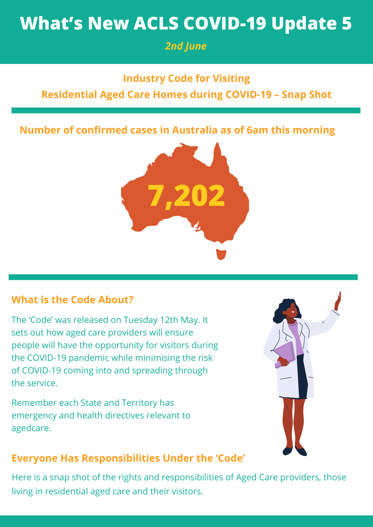# **What's New ACLS COVID-19 Update 5**

# *2nd June*

## **Industry Code for Visiting**

**Residential Aged Care Homes during COVID-19 – Snap Shot**

# **Number of confirmed cases in Australia as of 6am this morning**



## **What is the Code About?**

The 'Code' was released on Tuesday 12th May. It sets out how aged care providers will ensure people will have the opportunity for visitors during the COVID-19 pandemic while minimising the risk of COVID-19 coming into and spreading through the service.

Remember each State and Territory has emergency and health directives relevant to agedcare.



## **Everyone Has Responsibilities Under the 'Code'**

Here is a snap shot of the rights and responsibilities of Aged Care providers, those living in residential aged care and their visitors.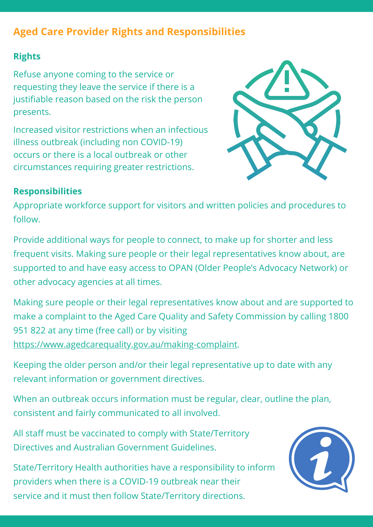# **Aged Care Provider Rights and Responsibilities**

#### **Rights**

Refuse anyone coming to the service or requesting they leave the service if there is a justifiable reason based on the risk the person presents.

Increased visitor restrictions when an infectious illness outbreak (including non COVID-19) occurs or there is a local outbreak or other circumstances requiring greater restrictions.



#### **Responsibilities**

Appropriate workforce support for visitors and written policies and procedures to follow.

Provide additional ways for people to connect, to make up for shorter and less frequent visits. Making sure people or their legal representatives know about, are supported to and have easy access to OPAN (Older People's Advocacy Network) or other advocacy agencies at all times.

Making sure people or their legal representatives know about and are supported to make a complaint to the Aged Care Quality and Safety Commission by calling 1800 951 822 at any time (free call) or by visiting <https://www.agedcarequality.gov.au/making-complaint>.

Keeping the older person and/or their legal representative up to date with any relevant information or government directives.

When an outbreak occurs information must be regular, clear, outline the plan, consistent and fairly communicated to all involved.

All staff must be vaccinated to comply with State/Territory Directives and Australian Government Guidelines.

State/Territory Health authorities have a responsibility to inform providers when there is a COVID-19 outbreak near their service and it must then follow State/Territory directions.

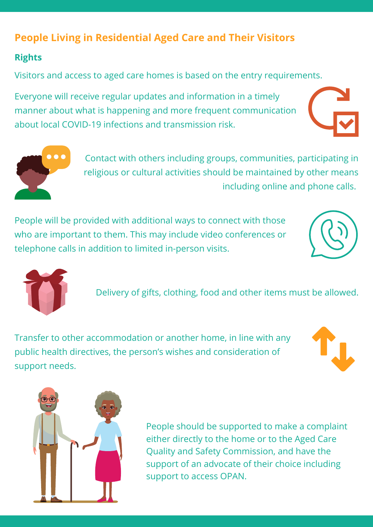## **People Living in Residential Aged Care and Their Visitors**

#### **Rights**

Visitors and access to aged care homes is based on the entry requirements.

Everyone will receive regular updates and information in a timely manner about what is happening and more frequent communication about local COVID-19 infections and transmission risk.





Contact with others including groups, communities, participating in religious or cultural activities should be maintained by other means including online and phone calls.

People will be provided with additional ways to connect with those who are important to them. This may include video conferences or telephone calls in addition to limited in-person visits.





Delivery of gifts, clothing, food and other items must be allowed.

Transfer to other accommodation or another home, in line with any public health directives, the person's wishes and consideration of support needs.





People should be supported to make a complaint either directly to the home or to the Aged Care Quality and Safety Commission, and have the support of an advocate of their choice including support to access OPAN.